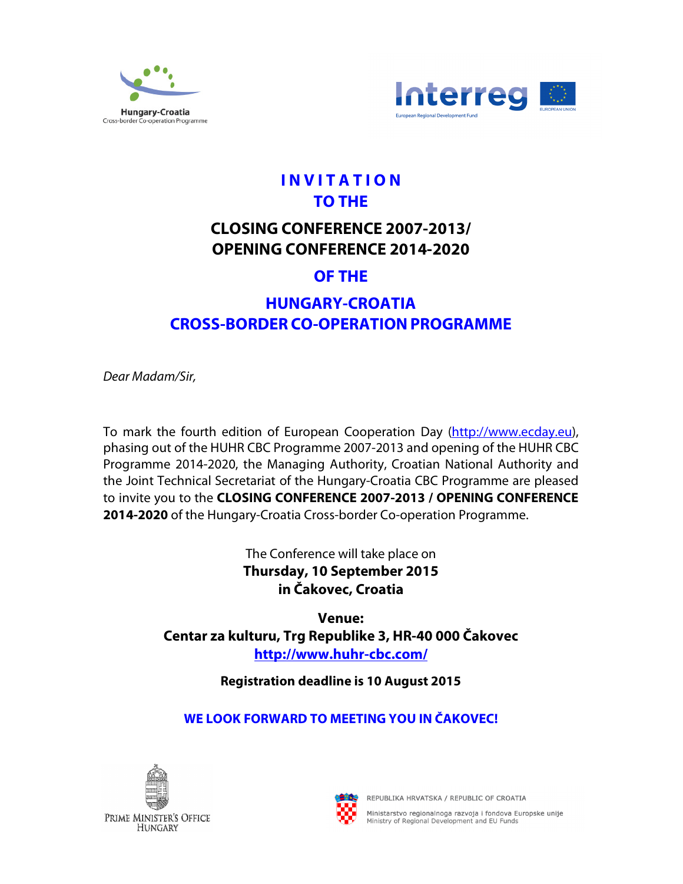



# **I N V I T A T I O N TO THE**

## **CLOSING CONFERENCE 2007-2013/ OPENING CONFERENCE 2014-2020**

## **OF THE**

# **HUNGARY-CROATIA CROSS-BORDER CO-OPERATIONPROGRAMME**

Dear Madam/Sir,

To mark the fourth edition of European Cooperation Day (http://www.ecday.eu), phasing out of the HUHR CBC Programme 2007-2013 and opening of the HUHR CBC Programme 2014-2020, the Managing Authority, Croatian National Authority and the Joint Technical Secretariat of the Hungary-Croatia CBC Programme are pleased to invite you to the **CLOSING CONFERENCE 2007-2013 / OPENING CONFERENCE 2014-2020** of the Hungary-Croatia Cross-border Co-operation Programme.

> The Conference will take place on **Thursday, 10 September 2015 in Čakovec, Croatia**

**Venue: Centar za kulturu, Trg Republike 3, HR-40 000 Čakovec http://www.huhr-cbc.com/** 

**Registration deadline is 10 August 2015**

### **WE LOOK FORWARD TO MEETING YOU IN ČAKOVEC!**





REPUBLIKA HRVATSKA / REPUBLIC OF CROATIA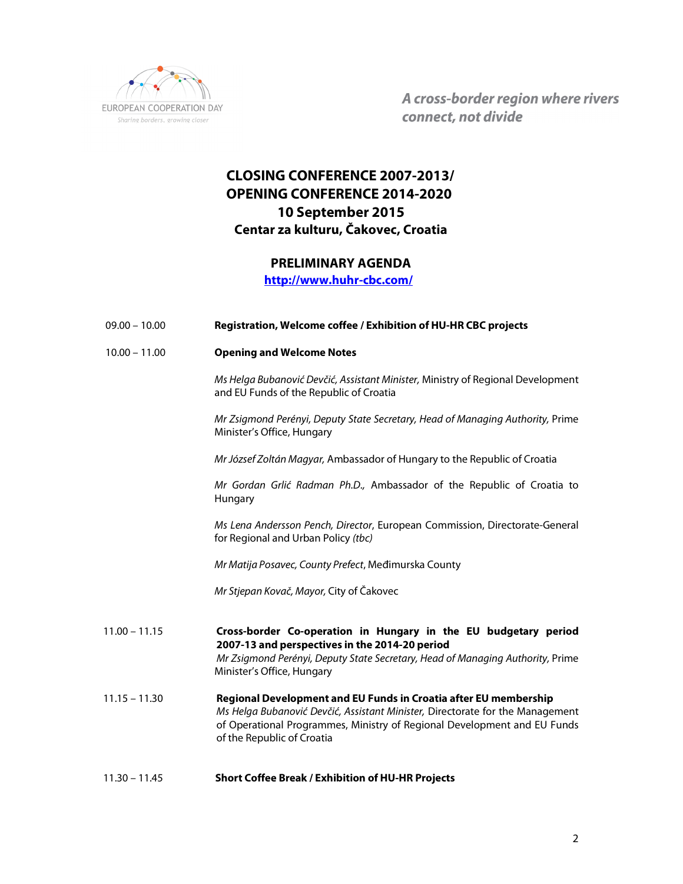

A cross-border region where rivers connect, not divide

#### **CLOSING CONFERENCE 2007-2013/ OPENING CONFERENCE 2014-2020 10 September 2015 Centar za kulturu, Čakovec, Croatia**

#### **PRELIMINARY AGENDA**

 **http://www.huhr-cbc.com/** 

| $09.00 - 10.00$ | Registration, Welcome coffee / Exhibition of HU-HR CBC projects                                                                                                                                                                                             |
|-----------------|-------------------------------------------------------------------------------------------------------------------------------------------------------------------------------------------------------------------------------------------------------------|
| $10.00 - 11.00$ | <b>Opening and Welcome Notes</b>                                                                                                                                                                                                                            |
|                 | Ms Helga Bubanović Devčić, Assistant Minister, Ministry of Regional Development<br>and EU Funds of the Republic of Croatia                                                                                                                                  |
|                 | Mr Zsigmond Perényi, Deputy State Secretary, Head of Managing Authority, Prime<br>Minister's Office, Hungary                                                                                                                                                |
|                 | Mr József Zoltán Magyar, Ambassador of Hungary to the Republic of Croatia                                                                                                                                                                                   |
|                 | Mr Gordan Grlić Radman Ph.D., Ambassador of the Republic of Croatia to<br>Hungary                                                                                                                                                                           |
|                 | Ms Lena Andersson Pench, Director, European Commission, Directorate-General<br>for Regional and Urban Policy (tbc)                                                                                                                                          |
|                 | Mr Matija Posavec, County Prefect, Međimurska County                                                                                                                                                                                                        |
|                 | Mr Stjepan Kovač, Mayor, City of Čakovec                                                                                                                                                                                                                    |
| $11.00 - 11.15$ | Cross-border Co-operation in Hungary in the EU budgetary period<br>2007-13 and perspectives in the 2014-20 period<br>Mr Zsigmond Perényi, Deputy State Secretary, Head of Managing Authority, Prime<br>Minister's Office, Hungary                           |
| $11.15 - 11.30$ | Regional Development and EU Funds in Croatia after EU membership<br>Ms Helga Bubanović Devčić, Assistant Minister, Directorate for the Management<br>of Operational Programmes, Ministry of Regional Development and EU Funds<br>of the Republic of Croatia |
| $11.30 - 11.45$ | <b>Short Coffee Break / Exhibition of HU-HR Projects</b>                                                                                                                                                                                                    |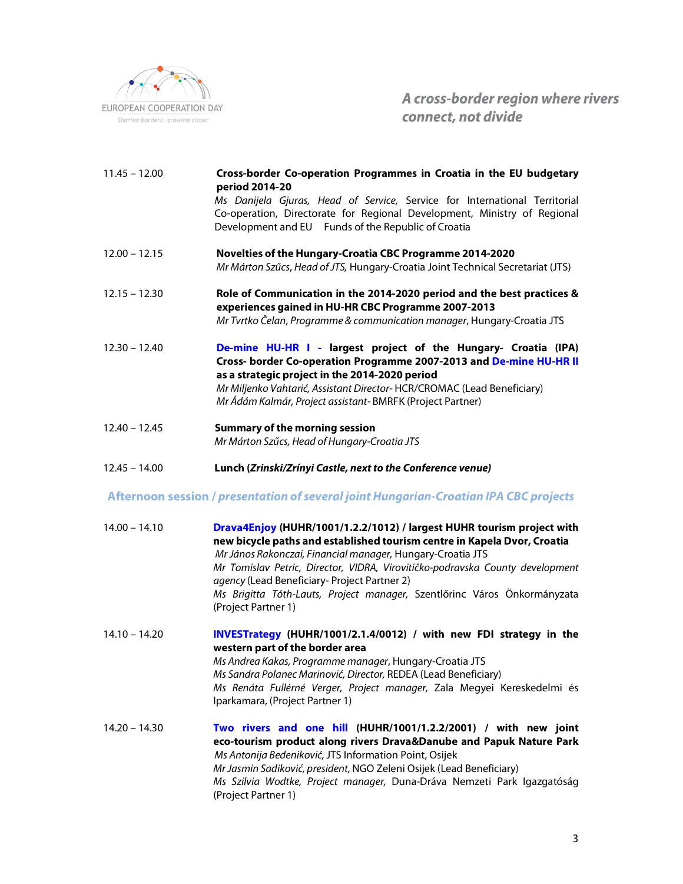

A cross-border region where rivers connect, not divide

| $11.45 - 12.00$ | Cross-border Co-operation Programmes in Croatia in the EU budgetary<br>period 2014-20<br>Ms Danijela Gjuras, Head of Service, Service for International Territorial<br>Co-operation, Directorate for Regional Development, Ministry of Regional<br>Development and EU Funds of the Republic of Croatia                          |
|-----------------|---------------------------------------------------------------------------------------------------------------------------------------------------------------------------------------------------------------------------------------------------------------------------------------------------------------------------------|
| $12.00 - 12.15$ | Novelties of the Hungary-Croatia CBC Programme 2014-2020<br>Mr Márton Szűcs, Head of JTS, Hungary-Croatia Joint Technical Secretariat (JTS)                                                                                                                                                                                     |
| $12.15 - 12.30$ | Role of Communication in the 2014-2020 period and the best practices &<br>experiences gained in HU-HR CBC Programme 2007-2013<br>Mr Tvrtko Čelan, Programme & communication manager, Hungary-Croatia JTS                                                                                                                        |
| $12.30 - 12.40$ | De-mine HU-HR I - largest project of the Hungary- Croatia (IPA)<br>Cross- border Co-operation Programme 2007-2013 and De-mine HU-HR II<br>as a strategic project in the 2014-2020 period<br>Mr Miljenko Vahtarić, Assistant Director-HCR/CROMAC (Lead Beneficiary)<br>Mr Ádám Kalmár, Project assistant-BMRFK (Project Partner) |
| $12.40 - 12.45$ | <b>Summary of the morning session</b><br>Mr Márton Szűcs, Head of Hungary-Croatia JTS                                                                                                                                                                                                                                           |
| $12.45 - 14.00$ | Lunch (Zrinski/Zrínyi Castle, next to the Conference venue)                                                                                                                                                                                                                                                                     |

#### **Afternoon session / presentation of several joint Hungarian-Croatian IPA CBC projects**

| $14.00 - 14.10$ | Drava4Enjoy (HUHR/1001/1.2.2/1012) / largest HUHR tourism project with<br>new bicycle paths and established tourism centre in Kapela Dvor, Croatia<br>Mr János Rakonczai, Financial manager, Hungary-Croatia JTS<br>Mr Tomislav Petric, Director, VIDRA, Virovitičko-podravska County development<br>agency (Lead Beneficiary- Project Partner 2)<br>Ms Brigitta Tóth-Lauts, Project manager, Szentlőrinc Város Önkormányzata<br>(Project Partner 1) |
|-----------------|------------------------------------------------------------------------------------------------------------------------------------------------------------------------------------------------------------------------------------------------------------------------------------------------------------------------------------------------------------------------------------------------------------------------------------------------------|
| $14.10 - 14.20$ | INVESTrategy (HUHR/1001/2.1.4/0012) / with new FDI strategy in the<br>western part of the border area<br>Ms Andrea Kakas, Programme manager, Hungary-Croatia JTS<br>Ms Sandra Polanec Marinović, Director, REDEA (Lead Beneficiary)<br>Ms Renáta Fullérné Verger, Project manager, Zala Megyei Kereskedelmi és<br>Iparkamara, (Project Partner 1)                                                                                                    |
| $14.20 - 14.30$ | Two rivers and one hill (HUHR/1001/1.2.2/2001) / with new joint<br>eco-tourism product along rivers Drava&Danube and Papuk Nature Park<br>Ms Antonija Bedeniković, JTS Information Point, Osijek<br>Mr Jasmin Sadiković, president, NGO Zeleni Osijek (Lead Beneficiary)<br>Ms Szilvia Wodtke, Project manager, Duna-Dráva Nemzeti Park Igazgatóság                                                                                                  |

(Project Partner 1)